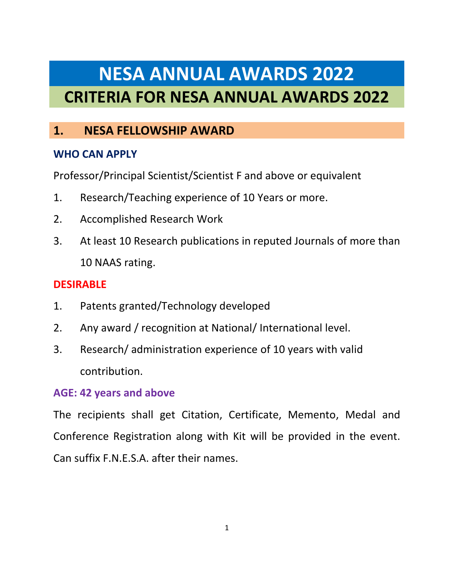# **NESA ANNUAL AWARDS 2022 CRITERIA FOR NESA ANNUAL AWARDS 2022**

# **1. NESA FELLOWSHIP AWARD**

## **WHO CAN APPLY**

Professor/Principal Scientist/Scientist F and above or equivalent

- 1. Research/Teaching experience of 10 Years or more.
- 2. Accomplished Research Work
- 3. At least 10 Research publications in reputed Journals of more than 10 NAAS rating.

## **DESIRABLE**

- 1. Patents granted/Technology developed
- 2. Any award / recognition at National/ International level.
- 3. Research/ administration experience of 10 years with valid contribution.

## **AGE: 42 years and above**

The recipients shall get Citation, Certificate, Memento, Medal and Conference Registration along with Kit will be provided in the event. Can suffix F.N.E.S.A. after their names.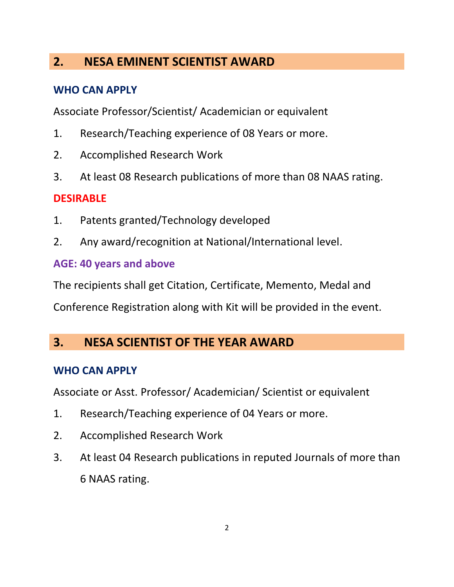# **2. NESA EMINENT SCIENTIST AWARD**

#### **WHO CAN APPLY**

Associate Professor/Scientist/ Academician or equivalent

- 1. Research/Teaching experience of 08 Years or more.
- 2. Accomplished Research Work
- 3. At least 08 Research publications of more than 08 NAAS rating.

#### **DESIRABLE**

- 1. Patents granted/Technology developed
- 2. Any award/recognition at National/International level.

#### **AGE: 40 years and above**

The recipients shall get Citation, Certificate, Memento, Medal and

Conference Registration along with Kit will be provided in the event.

## **3. NESA SCIENTIST OF THE YEAR AWARD**

#### **WHO CAN APPLY**

Associate or Asst. Professor/ Academician/ Scientist or equivalent

- 1. Research/Teaching experience of 04 Years or more.
- 2. Accomplished Research Work
- 3. At least 04 Research publications in reputed Journals of more than 6 NAAS rating.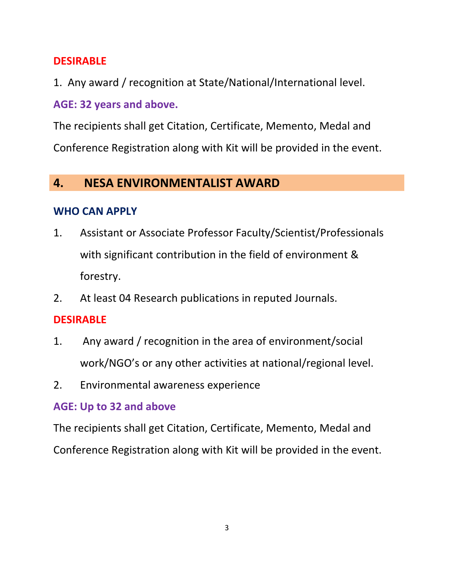#### **DESIRABLE**

1. Any award / recognition at State/National/International level.

**AGE: 32 years and above.**

The recipients shall get Citation, Certificate, Memento, Medal and Conference Registration along with Kit will be provided in the event.

## **4. NESA ENVIRONMENTALIST AWARD**

## **WHO CAN APPLY**

- 1. Assistant or Associate Professor Faculty/Scientist/Professionals with significant contribution in the field of environment & forestry.
- 2. At least 04 Research publications in reputed Journals.

## **DESIRABLE**

- 1. Any award / recognition in the area of environment/social work/NGO's or any other activities at national/regional level.
- 2. Environmental awareness experience

## **AGE: Up to 32 and above**

The recipients shall get Citation, Certificate, Memento, Medal and

Conference Registration along with Kit will be provided in the event.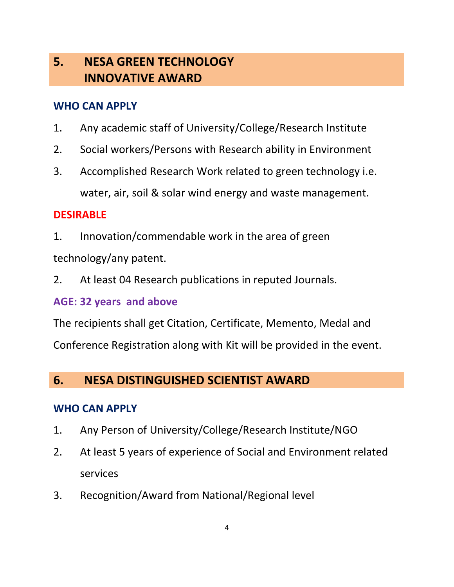# **5. NESA GREEN TECHNOLOGY INNOVATIVE AWARD**

## **WHO CAN APPLY**

- 1. Any academic staff of University/College/Research Institute
- 2. Social workers/Persons with Research ability in Environment
- 3. Accomplished Research Work related to green technology i.e. water, air, soil & solar wind energy and waste management.

## **DESIRABLE**

1. Innovation/commendable work in the area of green

technology/any patent.

2. At least 04 Research publications in reputed Journals.

## **AGE: 32 years and above**

The recipients shall get Citation, Certificate, Memento, Medal and Conference Registration along with Kit will be provided in the event.

## **6. NESA DISTINGUISHED SCIENTIST AWARD**

## **WHO CAN APPLY**

- 1. Any Person of University/College/Research Institute/NGO
- 2. At least 5 years of experience of Social and Environment related services
- 3. Recognition/Award from National/Regional level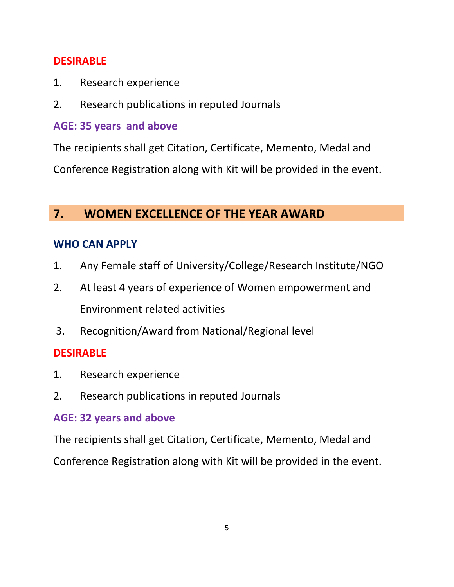#### **DESIRABLE**

- 1. Research experience
- 2. Research publications in reputed Journals

## **AGE: 35 years and above**

The recipients shall get Citation, Certificate, Memento, Medal and Conference Registration along with Kit will be provided in the event.

# **7. WOMEN EXCELLENCE OF THE YEAR AWARD**

## **WHO CAN APPLY**

- 1. Any Female staff of University/College/Research Institute/NGO
- 2. At least 4 years of experience of Women empowerment and Environment related activities
- 3. Recognition/Award from National/Regional level

## **DESIRABLE**

- 1. Research experience
- 2. Research publications in reputed Journals

## **AGE: 32 years and above**

The recipients shall get Citation, Certificate, Memento, Medal and Conference Registration along with Kit will be provided in the event.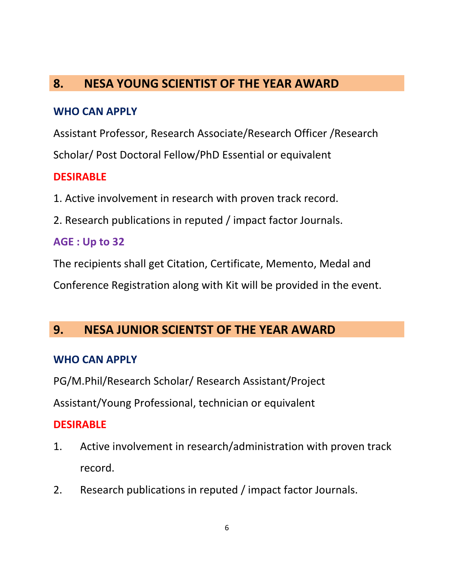# **8. NESA YOUNG SCIENTIST OF THE YEAR AWARD**

#### **WHO CAN APPLY**

Assistant Professor, Research Associate/Research Officer /Research Scholar/ Post Doctoral Fellow/PhD Essential or equivalent

## **DESIRABLE**

- 1. Active involvement in research with proven track record.
- 2. Research publications in reputed / impact factor Journals.

## **AGE : Up to 32**

The recipients shall get Citation, Certificate, Memento, Medal and

Conference Registration along with Kit will be provided in the event.

## **9. NESA JUNIOR SCIENTST OF THE YEAR AWARD**

#### **WHO CAN APPLY**

PG/M.Phil/Research Scholar/ Research Assistant/Project

Assistant/Young Professional, technician or equivalent

## **DESIRABLE**

- 1. Active involvement in research/administration with proven track record.
- 2. Research publications in reputed / impact factor Journals.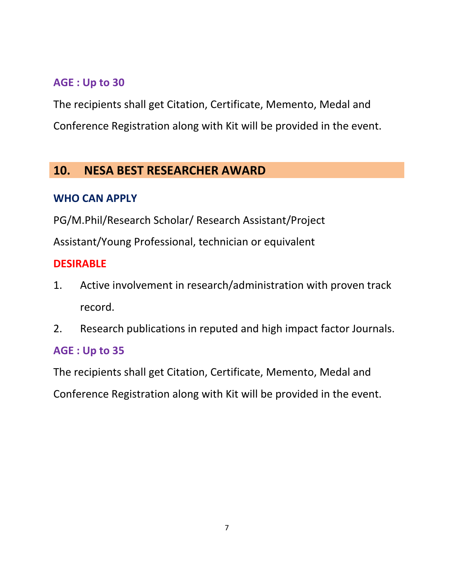## **AGE : Up to 30**

The recipients shall get Citation, Certificate, Memento, Medal and Conference Registration along with Kit will be provided in the event.

# **10. NESA BEST RESEARCHER AWARD**

## **WHO CAN APPLY**

PG/M.Phil/Research Scholar/ Research Assistant/Project

Assistant/Young Professional, technician or equivalent

#### **DESIRABLE**

- 1. Active involvement in research/administration with proven track record.
- 2. Research publications in reputed and high impact factor Journals.

## **AGE : Up to 35**

The recipients shall get Citation, Certificate, Memento, Medal and

Conference Registration along with Kit will be provided in the event.